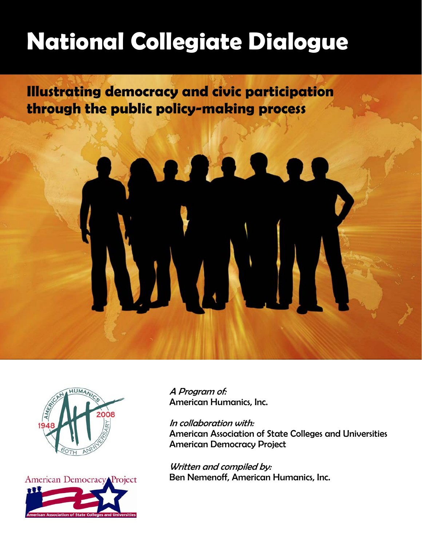# **National Collegiate Dialogue**

**Illustrating democracy and civic participation through the public policy-making process** 





A Program of: American Humanics, Inc.

#### In collaboration with:

American Association of State Colleges and Universities American Democracy Project

Written and compiled by: Ben Nemenoff, American Humanics, Inc.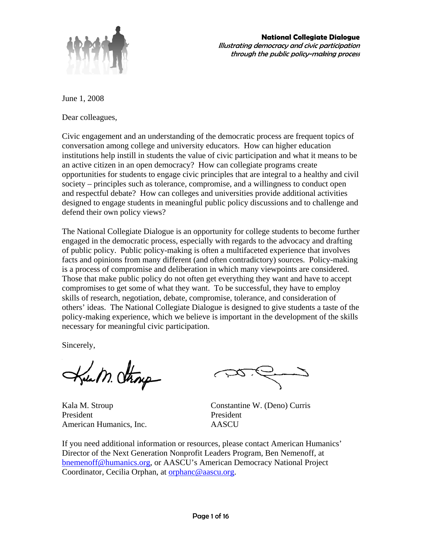

June 1, 2008

Dear colleagues,

Civic engagement and an understanding of the democratic process are frequent topics of conversation among college and university educators. How can higher education institutions help instill in students the value of civic participation and what it means to be an active citizen in an open democracy? How can collegiate programs create opportunities for students to engage civic principles that are integral to a healthy and civil society – principles such as tolerance, compromise, and a willingness to conduct open and respectful debate? How can colleges and universities provide additional activities designed to engage students in meaningful public policy discussions and to challenge and defend their own policy views?

The National Collegiate Dialogue is an opportunity for college students to become further engaged in the democratic process, especially with regards to the advocacy and drafting of public policy. Public policy-making is often a multifaceted experience that involves facts and opinions from many different (and often contradictory) sources. Policy-making is a process of compromise and deliberation in which many viewpoints are considered. Those that make public policy do not often get everything they want and have to accept compromises to get some of what they want. To be successful, they have to employ skills of research, negotiation, debate, compromise, tolerance, and consideration of others' ideas. The National Collegiate Dialogue is designed to give students a taste of the policy-making experience, which we believe is important in the development of the skills necessary for meaningful civic participation.

Sincerely,

President President American Humanics, Inc. AASCU

Kala M. Stroup Constantine W. (Deno) Curris

If you need additional information or resources, please contact American Humanics' Director of the Next Generation Nonprofit Leaders Program, Ben Nemenoff, at bnemenoff@humanics.org, or AASCU's American Democracy National Project Coordinator, Cecilia Orphan, at orphanc@aascu.org.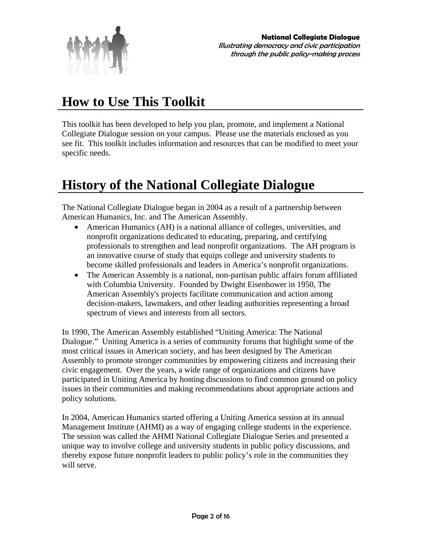

### **How to Use This Toolkit**

This toolkit has been developed to help you plan, promote, and implement a National Collegiate Dialogue session on your campus. Please use the materials enclosed as you see fit. This toolkit includes information and resources that can be modified to meet your specific needs.

### **History of the National Collegiate Dialogue**

The National Collegiate Dialogue began in 2004 as a result of a partnership between American Humanics, Inc. and The American Assembly.

- American Humanics (AH) is a national alliance of colleges, universities, and nonprofit organizations dedicated to educating, preparing, and certifying professionals to strengthen and lead nonprofit organizations. The AH program is an innovative course of study that equips college and university students to become skilled professionals and leaders in America's nonprofit organizations.
- The American Assembly is a national, non-partisan public affairs forum affiliated with Columbia University. Founded by Dwight Eisenhower in 1950, The American Assembly's projects facilitate communication and action among decision-makers, lawmakers, and other leading authorities representing a broad spectrum of views and interests from all sectors.

In 1990, The American Assembly established "Uniting America: The National Dialogue." Uniting America is a series of community forums that highlight some of the most critical issues in American society, and has been designed by The American Assembly to promote stronger communities by empowering citizens and increasing their civic engagement. Over the years, a wide range of organizations and citizens have participated in Uniting America by hosting discussions to find common ground on policy issues in their communities and making recommendations about appropriate actions and policy solutions.

In 2004, American Humanics started offering a Uniting America session at its annual Management Institute (AHMI) as a way of engaging college students in the experience. The session was called the AHMI National Collegiate Dialogue Series and presented a unique way to involve college and university students in public policy discussions, and thereby expose future nonprofit leaders to public policy's role in the communities they will serve.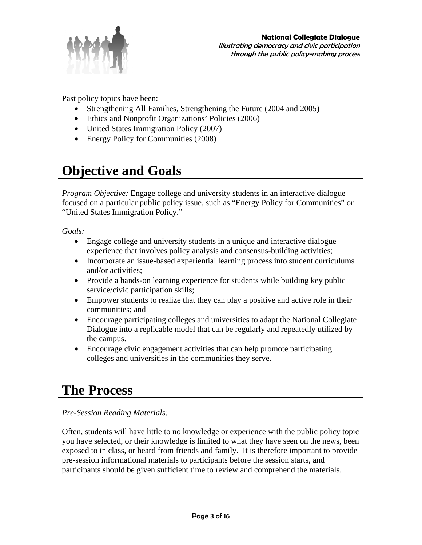

Past policy topics have been:

- Strengthening All Families, Strengthening the Future (2004 and 2005)
- Ethics and Nonprofit Organizations' Policies (2006)
- United States Immigration Policy (2007)
- Energy Policy for Communities (2008)

### **Objective and Goals**

*Program Objective:* Engage college and university students in an interactive dialogue focused on a particular public policy issue, such as "Energy Policy for Communities" or "United States Immigration Policy."

*Goals:* 

- Engage college and university students in a unique and interactive dialogue experience that involves policy analysis and consensus-building activities;
- Incorporate an issue-based experiential learning process into student curriculums and/or activities;
- Provide a hands-on learning experience for students while building key public service/civic participation skills;
- Empower students to realize that they can play a positive and active role in their communities; and
- Encourage participating colleges and universities to adapt the National Collegiate Dialogue into a replicable model that can be regularly and repeatedly utilized by the campus.
- Encourage civic engagement activities that can help promote participating colleges and universities in the communities they serve.

### **The Process**

*Pre-Session Reading Materials:* 

Often, students will have little to no knowledge or experience with the public policy topic you have selected, or their knowledge is limited to what they have seen on the news, been exposed to in class, or heard from friends and family. It is therefore important to provide pre-session informational materials to participants before the session starts, and participants should be given sufficient time to review and comprehend the materials.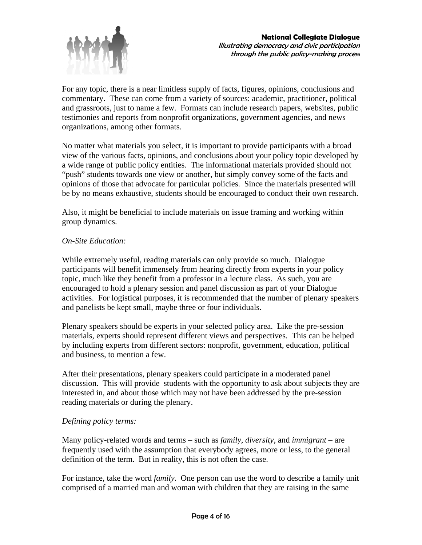

For any topic, there is a near limitless supply of facts, figures, opinions, conclusions and commentary. These can come from a variety of sources: academic, practitioner, political and grassroots, just to name a few. Formats can include research papers, websites, public testimonies and reports from nonprofit organizations, government agencies, and news organizations, among other formats.

No matter what materials you select, it is important to provide participants with a broad view of the various facts, opinions, and conclusions about your policy topic developed by a wide range of public policy entities. The informational materials provided should not "push" students towards one view or another, but simply convey some of the facts and opinions of those that advocate for particular policies. Since the materials presented will be by no means exhaustive, students should be encouraged to conduct their own research.

Also, it might be beneficial to include materials on issue framing and working within group dynamics.

#### *On-Site Education:*

While extremely useful, reading materials can only provide so much. Dialogue participants will benefit immensely from hearing directly from experts in your policy topic, much like they benefit from a professor in a lecture class. As such, you are encouraged to hold a plenary session and panel discussion as part of your Dialogue activities. For logistical purposes, it is recommended that the number of plenary speakers and panelists be kept small, maybe three or four individuals.

Plenary speakers should be experts in your selected policy area. Like the pre-session materials, experts should represent different views and perspectives. This can be helped by including experts from different sectors: nonprofit, government, education, political and business, to mention a few.

After their presentations, plenary speakers could participate in a moderated panel discussion. This will provide students with the opportunity to ask about subjects they are interested in, and about those which may not have been addressed by the pre-session reading materials or during the plenary.

#### *Defining policy terms:*

Many policy-related words and terms – such as *family*, *diversity*, and *immigrant* – are frequently used with the assumption that everybody agrees, more or less, to the general definition of the term. But in reality, this is not often the case.

For instance, take the word *family*. One person can use the word to describe a family unit comprised of a married man and woman with children that they are raising in the same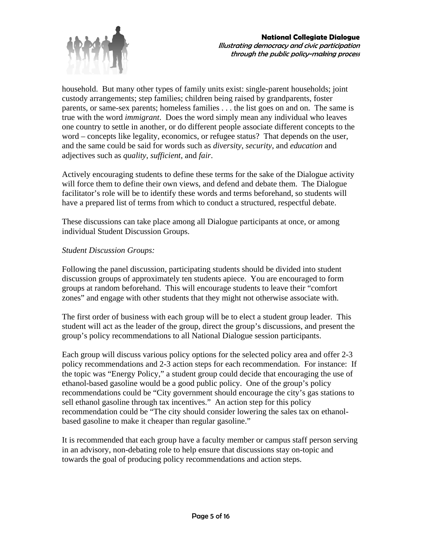

household. But many other types of family units exist: single-parent households; joint custody arrangements; step families; children being raised by grandparents, foster parents, or same-sex parents; homeless families . . . the list goes on and on. The same is true with the word *immigrant*. Does the word simply mean any individual who leaves one country to settle in another, or do different people associate different concepts to the word – concepts like legality, economics, or refugee status? That depends on the user, and the same could be said for words such as *diversity*, *security*, and *education* and adjectives such as *quality*, *sufficient*, and *fair*.

Actively encouraging students to define these terms for the sake of the Dialogue activity will force them to define their own views, and defend and debate them. The Dialogue facilitator's role will be to identify these words and terms beforehand, so students will have a prepared list of terms from which to conduct a structured, respectful debate.

These discussions can take place among all Dialogue participants at once, or among individual Student Discussion Groups.

#### *Student Discussion Groups:*

Following the panel discussion, participating students should be divided into student discussion groups of approximately ten students apiece. You are encouraged to form groups at random beforehand. This will encourage students to leave their "comfort zones" and engage with other students that they might not otherwise associate with.

The first order of business with each group will be to elect a student group leader. This student will act as the leader of the group, direct the group's discussions, and present the group's policy recommendations to all National Dialogue session participants.

Each group will discuss various policy options for the selected policy area and offer 2-3 policy recommendations and 2-3 action steps for each recommendation. For instance: If the topic was "Energy Policy," a student group could decide that encouraging the use of ethanol-based gasoline would be a good public policy. One of the group's policy recommendations could be "City government should encourage the city's gas stations to sell ethanol gasoline through tax incentives." An action step for this policy recommendation could be "The city should consider lowering the sales tax on ethanolbased gasoline to make it cheaper than regular gasoline."

It is recommended that each group have a faculty member or campus staff person serving in an advisory, non-debating role to help ensure that discussions stay on-topic and towards the goal of producing policy recommendations and action steps.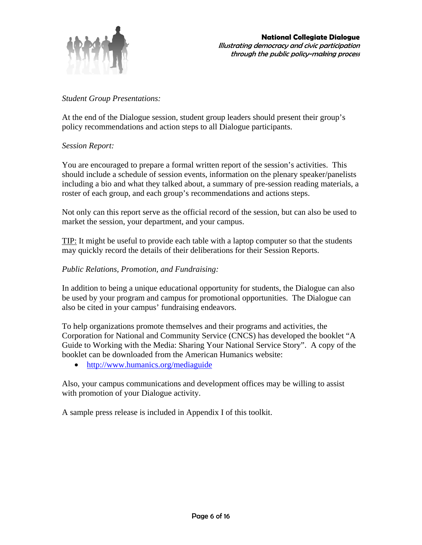

#### *Student Group Presentations:*

At the end of the Dialogue session, student group leaders should present their group's policy recommendations and action steps to all Dialogue participants.

#### *Session Report:*

You are encouraged to prepare a formal written report of the session's activities. This should include a schedule of session events, information on the plenary speaker/panelists including a bio and what they talked about, a summary of pre-session reading materials, a roster of each group, and each group's recommendations and actions steps.

Not only can this report serve as the official record of the session, but can also be used to market the session, your department, and your campus.

TIP: It might be useful to provide each table with a laptop computer so that the students may quickly record the details of their deliberations for their Session Reports.

#### *Public Relations, Promotion, and Fundraising:*

In addition to being a unique educational opportunity for students, the Dialogue can also be used by your program and campus for promotional opportunities. The Dialogue can also be cited in your campus' fundraising endeavors.

To help organizations promote themselves and their programs and activities, the Corporation for National and Community Service (CNCS) has developed the booklet "A Guide to Working with the Media: Sharing Your National Service Story". A copy of the booklet can be downloaded from the American Humanics website:

• http://www.humanics.org/mediaguide

Also, your campus communications and development offices may be willing to assist with promotion of your Dialogue activity.

A sample press release is included in Appendix I of this toolkit.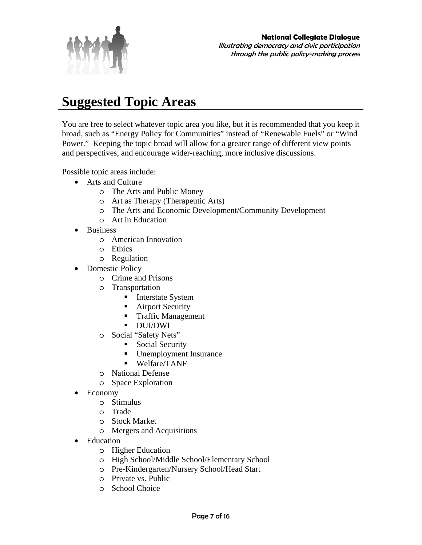

### **Suggested Topic Areas**

You are free to select whatever topic area you like, but it is recommended that you keep it broad, such as "Energy Policy for Communities" instead of "Renewable Fuels" or "Wind Power." Keeping the topic broad will allow for a greater range of different view points and perspectives, and encourage wider-reaching, more inclusive discussions.

Possible topic areas include:

- Arts and Culture
	- o The Arts and Public Money
	- o Art as Therapy (Therapeutic Arts)
	- o The Arts and Economic Development/Community Development
	- o Art in Education
- Business
	- o American Innovation
	- o Ethics
	- o Regulation
	- **Domestic Policy** 
		- o Crime and Prisons
		- o Transportation
			- **Interstate System**
			- **Airport Security**
			- **Traffic Management**
			- DUI/DWI
		- o Social "Safety Nets"
			- Social Security
			- Unemployment Insurance
			- Welfare/TANF
		- o National Defense
		- o Space Exploration
- Economy
	- o Stimulus
	- o Trade
	- o Stock Market
	- o Mergers and Acquisitions
- Education
	- o Higher Education
	- o High School/Middle School/Elementary School
	- o Pre-Kindergarten/Nursery School/Head Start
	- o Private vs. Public
	- o School Choice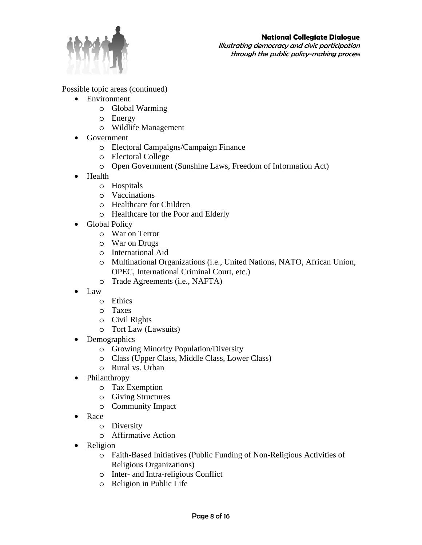

Illustrating democracy and civic participation through the public policy-making process

Possible topic areas (continued)

- Environment
	- o Global Warming
	- o Energy
	- o Wildlife Management
- Government
	- o Electoral Campaigns/Campaign Finance
	- o Electoral College
	- o Open Government (Sunshine Laws, Freedom of Information Act)
- Health
	- o Hospitals
	- o Vaccinations
	- o Healthcare for Children
	- o Healthcare for the Poor and Elderly
- Global Policy
	- o War on Terror
	- o War on Drugs
	- o International Aid
	- o Multinational Organizations (i.e., United Nations, NATO, African Union, OPEC, International Criminal Court, etc.)
	- o Trade Agreements (i.e., NAFTA)
- Law
	- o Ethics
	- o Taxes
	- o Civil Rights
	- o Tort Law (Lawsuits)
- Demographics
	- o Growing Minority Population/Diversity
	- o Class (Upper Class, Middle Class, Lower Class)
	- o Rural vs. Urban
- Philanthropy
	- o Tax Exemption
	- o Giving Structures
	- o Community Impact
- Race
	- o Diversity
	- o Affirmative Action
- Religion
	- o Faith-Based Initiatives (Public Funding of Non-Religious Activities of Religious Organizations)
	- o Inter- and Intra-religious Conflict
	- o Religion in Public Life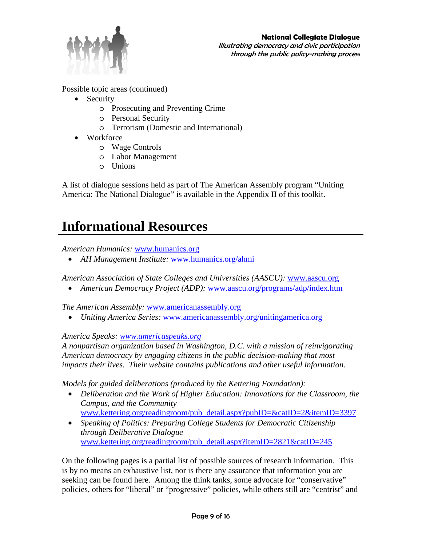

Possible topic areas (continued)

- Security
	- o Prosecuting and Preventing Crime
	- o Personal Security
	- o Terrorism (Domestic and International)
- Workforce
	- o Wage Controls
	- o Labor Management
	- o Unions

A list of dialogue sessions held as part of The American Assembly program "Uniting America: The National Dialogue" is available in the Appendix II of this toolkit.

### **Informational Resources**

*American Humanics:* www.humanics.org

• *AH Management Institute:* www.humanics.org/ahmi

*American Association of State Colleges and Universities (AASCU):* www.aascu.org

• *American Democracy Project (ADP):* www.aascu.org/programs/adp/index.htm

*The American Assembly:* www.americanassembly.org

• *Uniting America Series:* www.americanassembly.org/unitingamerica.org

*America Speaks: www.americaspeaks.org* 

*A nonpartisan organization based in Washington, D.C. with a mission of reinvigorating American democracy by engaging citizens in the public decision-making that most impacts their lives. Their website contains publications and other useful information.* 

*Models for guided deliberations (produced by the Kettering Foundation):* 

- *Deliberation and the Work of Higher Education: Innovations for the Classroom, the Campus, and the Community*  www.kettering.org/readingroom/pub\_detail.aspx?pubID=&catID=2&itemID=3397
- *Speaking of Politics: Preparing College Students for Democratic Citizenship through Deliberative Dialogue*  www.kettering.org/readingroom/pub\_detail.aspx?itemID=2821&catID=245

On the following pages is a partial list of possible sources of research information. This is by no means an exhaustive list, nor is there any assurance that information you are seeking can be found here. Among the think tanks, some advocate for "conservative" policies, others for "liberal" or "progressive" policies, while others still are "centrist" and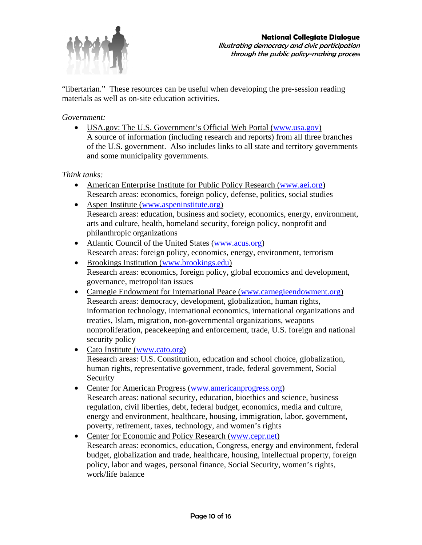

"libertarian." These resources can be useful when developing the pre-session reading materials as well as on-site education activities.

#### *Government:*

• USA.gov: The U.S. Government's Official Web Portal (www.usa.gov) A source of information (including research and reports) from all three branches of the U.S. government. Also includes links to all state and territory governments and some municipality governments.

*Think tanks:* 

- American Enterprise Institute for Public Policy Research (www.aei.org) Research areas: economics, foreign policy, defense, politics, social studies
- Aspen Institute (www.aspeninstitute.org) Research areas: education, business and society, economics, energy, environment, arts and culture, health, homeland security, foreign policy, nonprofit and philanthropic organizations
- Atlantic Council of the United States (www.acus.org) Research areas: foreign policy, economics, energy, environment, terrorism
- Brookings Institution (www.brookings.edu) Research areas: economics, foreign policy, global economics and development, governance, metropolitan issues
- Carnegie Endowment for International Peace (www.carnegieendowment.org) Research areas: democracy, development, globalization, human rights, information technology, international economics, international organizations and treaties, Islam, migration, non-governmental organizations, weapons nonproliferation, peacekeeping and enforcement, trade, U.S. foreign and national security policy
- Cato Institute (www.cato.org) Research areas: U.S. Constitution, education and school choice, globalization, human rights, representative government, trade, federal government, Social Security
- Center for American Progress (www.americanprogress.org) Research areas: national security, education, bioethics and science, business regulation, civil liberties, debt, federal budget, economics, media and culture, energy and environment, healthcare, housing, immigration, labor, government, poverty, retirement, taxes, technology, and women's rights
- Center for Economic and Policy Research (www.cepr.net) Research areas: economics, education, Congress, energy and environment, federal budget, globalization and trade, healthcare, housing, intellectual property, foreign policy, labor and wages, personal finance, Social Security, women's rights, work/life balance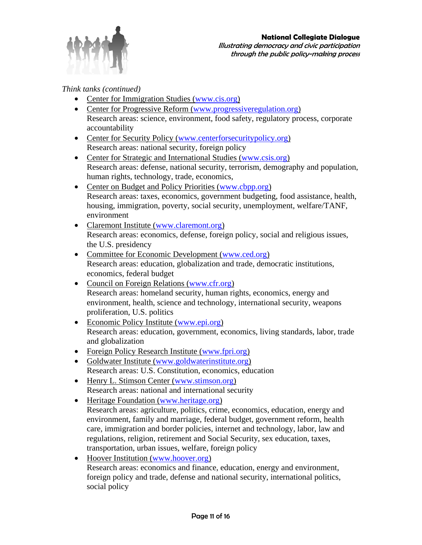

*Think tanks (continued)*

- Center for Immigration Studies (www.cis.org)
- Center for Progressive Reform (www.progressiveregulation.org) Research areas: science, environment, food safety, regulatory process, corporate accountability
- Center for Security Policy (www.centerforsecuritypolicy.org) Research areas: national security, foreign policy
- Center for Strategic and International Studies (www.csis.org) Research areas: defense, national security, terrorism, demography and population, human rights, technology, trade, economics,
- Center on Budget and Policy Priorities (www.cbpp.org) Research areas: taxes, economics, government budgeting, food assistance, health, housing, immigration, poverty, social security, unemployment, welfare/TANF, environment
- Claremont Institute (www.claremont.org) Research areas: economics, defense, foreign policy, social and religious issues, the U.S. presidency
- Committee for Economic Development (www.ced.org) Research areas: education, globalization and trade, democratic institutions, economics, federal budget
- Council on Foreign Relations (www.cfr.org) Research areas: homeland security, human rights, economics, energy and environment, health, science and technology, international security, weapons proliferation, U.S. politics
- Economic Policy Institute (www.epi.org) Research areas: education, government, economics, living standards, labor, trade and globalization
- Foreign Policy Research Institute (www.fpri.org)
- Goldwater Institute (www.goldwaterinstitute.org) Research areas: U.S. Constitution, economics, education
- Henry L. Stimson Center (www.stimson.org) Research areas: national and international security
- Heritage Foundation (www.heritage.org) Research areas: agriculture, politics, crime, economics, education, energy and environment, family and marriage, federal budget, government reform, health care, immigration and border policies, internet and technology, labor, law and regulations, religion, retirement and Social Security, sex education, taxes, transportation, urban issues, welfare, foreign policy
- Hoover Institution (www.hoover.org) Research areas: economics and finance, education, energy and environment, foreign policy and trade, defense and national security, international politics, social policy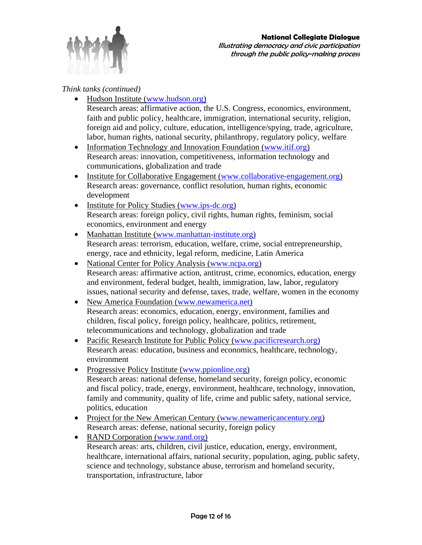

#### *Think tanks (continued)*

- Hudson Institute (www.hudson.org) Research areas: affirmative action, the U.S. Congress, economics, environment, faith and public policy, healthcare, immigration, international security, religion, foreign aid and policy, culture, education, intelligence/spying, trade, agriculture, labor, human rights, national security, philanthropy, regulatory policy, welfare
- Information Technology and Innovation Foundation (www.itif.org) Research areas: innovation, competitiveness, information technology and communications, globalization and trade
- Institute for Collaborative Engagement (www.collaborative-engagement.org) Research areas: governance, conflict resolution, human rights, economic development
- Institute <u>for Policy Studies (www.ips-dc.org)</u> Research areas: foreign policy, civil rights, human rights, feminism, social economics, environment and energy
- Manhattan Institute (www.manhattan-institute.org) Research areas: terrorism, education, welfare, crime, social entrepreneurship, energy, race and ethnicity, legal reform, medicine, Latin America
- National Center for Policy Analysis (www.ncpa.org) Research areas: affirmative action, antitrust, crime, economics, education, energy and environment, federal budget, health, immigration, law, labor, regulatory issues, national security and defense, taxes, trade, welfare, women in the economy
- New America Foundation (www.newamerica.net) Research areas: economics, education, energy, environment, families and children, fiscal policy, foreign policy, healthcare, politics, retirement, telecommunications and technology, globalization and trade
- Pacific Research Institute for Public Policy (www.pacificresearch.org) Research areas: education, business and economics, healthcare, technology, environment
- Progressive Policy Institute (www.ppionline.org) Research areas: national defense, homeland security, foreign policy, economic and fiscal policy, trade, energy, environment, healthcare, technology, innovation, family and community, quality of life, crime and public safety, national service, politics, education
- Project for the New American Century (www.newamericancentury.org) Research areas: defense, national security, foreign policy
- RAND Corporation (www.rand.org) Research areas: arts, children, civil justice, education, energy, environment, healthcare, international affairs, national security, population, aging, public safety, science and technology, substance abuse, terrorism and homeland security, transportation, infrastructure, labor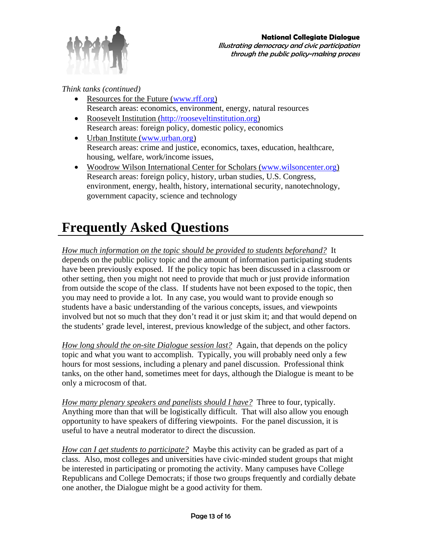

*Think tanks (continued)* 

- Resources for the Future (www.rff.org) Research areas: economics, environment, energy, natural resources
- Roosevelt Institution (http://rooseveltinstitution.org) Research areas: foreign policy, domestic policy, economics
- Urban Institute (www.urban.org) Research areas: crime and justice, economics, taxes, education, healthcare, housing, welfare, work/income issues,
- Woodrow Wilson International Center for Scholars (www.wilsoncenter.org) Research areas: foreign policy, history, urban studies, U.S. Congress, environment, energy, health, history, international security, nanotechnology, government capacity, science and technology

### **Frequently Asked Questions**

*How much information on the topic should be provided to students beforehand?* It depends on the public policy topic and the amount of information participating students have been previously exposed. If the policy topic has been discussed in a classroom or other setting, then you might not need to provide that much or just provide information from outside the scope of the class. If students have not been exposed to the topic, then you may need to provide a lot. In any case, you would want to provide enough so students have a basic understanding of the various concepts, issues, and viewpoints involved but not so much that they don't read it or just skim it; and that would depend on the students' grade level, interest, previous knowledge of the subject, and other factors.

*How long should the on-site Dialogue session last?* Again, that depends on the policy topic and what you want to accomplish. Typically, you will probably need only a few hours for most sessions, including a plenary and panel discussion. Professional think tanks, on the other hand, sometimes meet for days, although the Dialogue is meant to be only a microcosm of that.

*How many plenary speakers and panelists should I have?* Three to four, typically. Anything more than that will be logistically difficult. That will also allow you enough opportunity to have speakers of differing viewpoints. For the panel discussion, it is useful to have a neutral moderator to direct the discussion.

*How can I get students to participate?* Maybe this activity can be graded as part of a class. Also, most colleges and universities have civic-minded student groups that might be interested in participating or promoting the activity. Many campuses have College Republicans and College Democrats; if those two groups frequently and cordially debate one another, the Dialogue might be a good activity for them.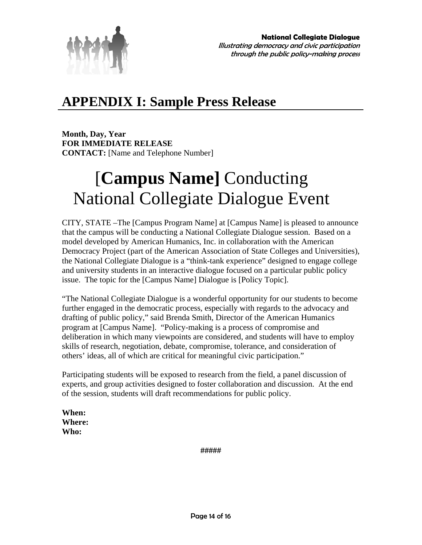

### **APPENDIX I: Sample Press Release**

**Month, Day, Year FOR IMMEDIATE RELEASE CONTACT:** [Name and Telephone Number]

## [**Campus Name]** Conducting National Collegiate Dialogue Event

CITY, STATE –The [Campus Program Name] at [Campus Name] is pleased to announce that the campus will be conducting a National Collegiate Dialogue session. Based on a model developed by American Humanics, Inc. in collaboration with the American Democracy Project (part of the American Association of State Colleges and Universities), the National Collegiate Dialogue is a "think-tank experience" designed to engage college and university students in an interactive dialogue focused on a particular public policy issue. The topic for the [Campus Name] Dialogue is [Policy Topic].

"The National Collegiate Dialogue is a wonderful opportunity for our students to become further engaged in the democratic process, especially with regards to the advocacy and drafting of public policy," said Brenda Smith, Director of the American Humanics program at [Campus Name]. "Policy-making is a process of compromise and deliberation in which many viewpoints are considered, and students will have to employ skills of research, negotiation, debate, compromise, tolerance, and consideration of others' ideas, all of which are critical for meaningful civic participation."

Participating students will be exposed to research from the field, a panel discussion of experts, and group activities designed to foster collaboration and discussion. At the end of the session, students will draft recommendations for public policy.

**When: Where: Who:** 

**#####**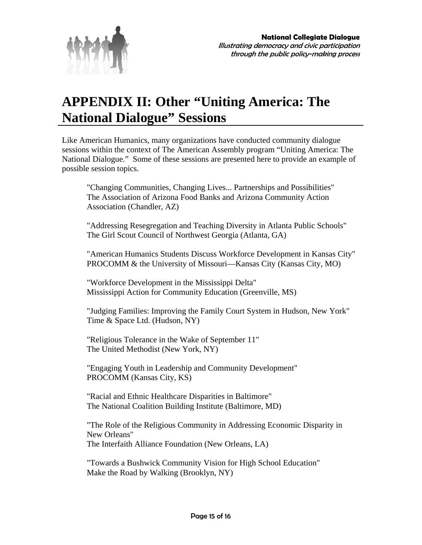

### **APPENDIX II: Other "Uniting America: The National Dialogue" Sessions**

Like American Humanics, many organizations have conducted community dialogue sessions within the context of The American Assembly program "Uniting America: The National Dialogue." Some of these sessions are presented here to provide an example of possible session topics.

"Changing Communities, Changing Lives... Partnerships and Possibilities" The Association of Arizona Food Banks and Arizona Community Action Association (Chandler, AZ)

"Addressing Resegregation and Teaching Diversity in Atlanta Public Schools" The Girl Scout Council of Northwest Georgia (Atlanta, GA)

"American Humanics Students Discuss Workforce Development in Kansas City" PROCOMM & the University of Missouri—Kansas City (Kansas City, MO)

"Workforce Development in the Mississippi Delta" Mississippi Action for Community Education (Greenville, MS)

"Judging Families: Improving the Family Court System in Hudson, New York" Time & Space Ltd. (Hudson, NY)

"Religious Tolerance in the Wake of September 11" The United Methodist (New York, NY)

"Engaging Youth in Leadership and Community Development" PROCOMM (Kansas City, KS)

"Racial and Ethnic Healthcare Disparities in Baltimore" The National Coalition Building Institute (Baltimore, MD)

"The Role of the Religious Community in Addressing Economic Disparity in New Orleans" The Interfaith Alliance Foundation (New Orleans, LA)

"Towards a Bushwick Community Vision for High School Education" Make the Road by Walking (Brooklyn, NY)